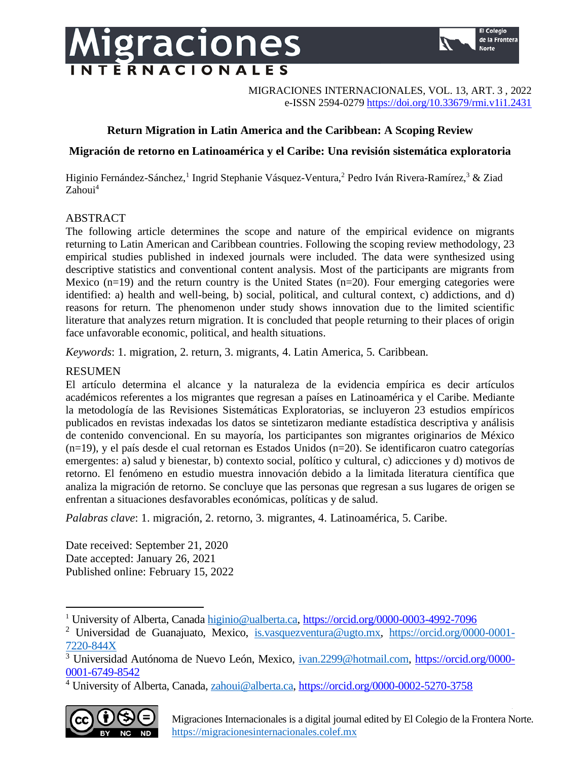# Migraciones **TERNACIONALES**



MIGRACIONES INTERNACIONALES, VOL. 13, ART. 3 , 2022 e-ISSN 2594-0279 <https://doi.org/10.33679/rmi.v1i1.2431>

# **Return Migration in Latin America and the Caribbean: A Scoping Review**

# **Migración de retorno en Latinoamérica y el Caribe: Una revisión sistemática exploratoria**

Higinio Fernández-Sánchez,<sup>1</sup> Ingrid Stephanie Vásquez-Ventura,<sup>2</sup> Pedro Iván Rivera-Ramírez,<sup>3</sup> & Ziad Zahoui<sup>4</sup>

# ABSTRACT

The following article determines the scope and nature of the empirical evidence on migrants returning to Latin American and Caribbean countries. Following the scoping review methodology, 23 empirical studies published in indexed journals were included. The data were synthesized using descriptive statistics and conventional content analysis. Most of the participants are migrants from Mexico  $(n=19)$  and the return country is the United States  $(n=20)$ . Four emerging categories were identified: a) health and well-being, b) social, political, and cultural context, c) addictions, and d) reasons for return. The phenomenon under study shows innovation due to the limited scientific literature that analyzes return migration. It is concluded that people returning to their places of origin face unfavorable economic, political, and health situations.

*Keywords*: 1. migration, 2. return, 3. migrants, 4. Latin America, 5. Caribbean.

# RESUMEN

El artículo determina el alcance y la naturaleza de la evidencia empírica es decir artículos académicos referentes a los migrantes que regresan a países en Latinoamérica y el Caribe. Mediante la metodología de las Revisiones Sistemáticas Exploratorias, se incluyeron 23 estudios empíricos publicados en revistas indexadas los datos se sintetizaron mediante estadística descriptiva y análisis de contenido convencional. En su mayoría, los participantes son migrantes originarios de México (n=19), y el país desde el cual retornan es Estados Unidos (n=20). Se identificaron cuatro categorías emergentes: a) salud y bienestar, b) contexto social, político y cultural, c) adicciones y d) motivos de retorno. El fenómeno en estudio muestra innovación debido a la limitada literatura científica que analiza la migración de retorno. Se concluye que las personas que regresan a sus lugares de origen se enfrentan a situaciones desfavorables económicas, políticas y de salud.

*Palabras clave*: 1. migración, 2. retorno, 3. migrantes, 4. Latinoamérica, 5. Caribe.

Date received: September 21, 2020 Date accepted: January 26, 2021 Published online: February 15, 2022

<sup>&</sup>lt;sup>4</sup> University of Alberta, Canada, [zahoui@alberta.ca,](mailto:zahoui@alberta.ca)<https://orcid.org/0000-0002-5270-3758>



<sup>&</sup>lt;sup>1</sup> University of Alberta, Canada [higinio@ualberta.ca,](mailto:higinio@ualberta.ca)<https://orcid.org/0000-0003-4992-7096>

<sup>2</sup> Universidad de Guanajuato, Mexico, [is.vasquezventura@ugto.mx,](mailto:is.vasquezventura@ugto.mx) [https://orcid.org/0000-0001-](https://orcid.org/0000-0001-7220-844X) [7220-844X](https://orcid.org/0000-0001-7220-844X)

<sup>3</sup> Universidad Autónoma de Nuevo León, Mexico, [ivan.2299@hotmail.com,](mailto:ivan.2299@hotmail.com) [https://orcid.org/0000-](https://orcid.org/0000-0001-6749-8542) [0001-6749-8542](https://orcid.org/0000-0001-6749-8542)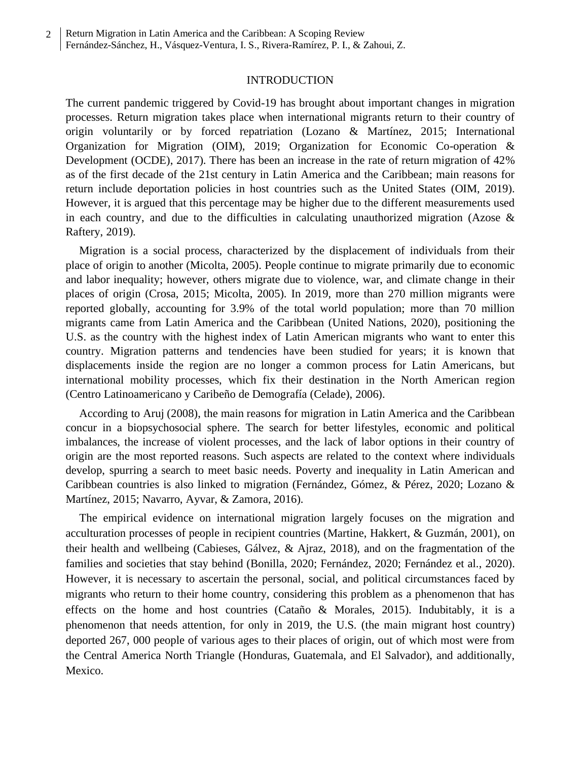### INTRODUCTION

The current pandemic triggered by Covid-19 has brought about important changes in migration processes. Return migration takes place when international migrants return to their country of origin voluntarily or by forced repatriation (Lozano & Martínez, 2015; International Organization for Migration (OIM), 2019; Organization for Economic Co-operation & Development (OCDE), 2017). There has been an increase in the rate of return migration of 42% as of the first decade of the 21st century in Latin America and the Caribbean; main reasons for return include deportation policies in host countries such as the United States (OIM, 2019). However, it is argued that this percentage may be higher due to the different measurements used in each country, and due to the difficulties in calculating unauthorized migration (Azose  $\&$ Raftery, 2019).

Migration is a social process, characterized by the displacement of individuals from their place of origin to another (Micolta, 2005). People continue to migrate primarily due to economic and labor inequality; however, others migrate due to violence, war, and climate change in their places of origin (Crosa, 2015; Micolta, 2005). In 2019, more than 270 million migrants were reported globally, accounting for 3.9% of the total world population; more than 70 million migrants came from Latin America and the Caribbean (United Nations, 2020), positioning the U.S. as the country with the highest index of Latin American migrants who want to enter this country. Migration patterns and tendencies have been studied for years; it is known that displacements inside the region are no longer a common process for Latin Americans, but international mobility processes, which fix their destination in the North American region (Centro Latinoamericano y Caribeño de Demografía (Celade), 2006).

According to Aruj (2008), the main reasons for migration in Latin America and the Caribbean concur in a biopsychosocial sphere. The search for better lifestyles, economic and political imbalances, the increase of violent processes, and the lack of labor options in their country of origin are the most reported reasons. Such aspects are related to the context where individuals develop, spurring a search to meet basic needs. Poverty and inequality in Latin American and Caribbean countries is also linked to migration (Fernández, Gómez, & Pérez, 2020; Lozano & Martínez, 2015; Navarro, Ayvar, & Zamora, 2016).

The empirical evidence on international migration largely focuses on the migration and acculturation processes of people in recipient countries (Martine, Hakkert, & Guzmán, 2001), on their health and wellbeing (Cabieses, Gálvez, & Ajraz, 2018), and on the fragmentation of the families and societies that stay behind (Bonilla, 2020; Fernández, 2020; Fernández et al., 2020). However, it is necessary to ascertain the personal, social, and political circumstances faced by migrants who return to their home country, considering this problem as a phenomenon that has effects on the home and host countries (Cataño & Morales, 2015). Indubitably, it is a phenomenon that needs attention, for only in 2019, the U.S. (the main migrant host country) deported 267, 000 people of various ages to their places of origin, out of which most were from the Central America North Triangle (Honduras, Guatemala, and El Salvador), and additionally, Mexico.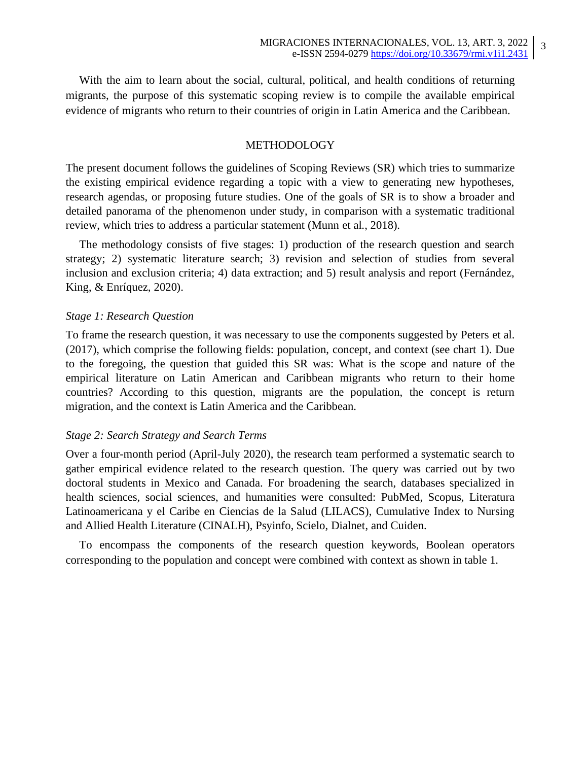3

With the aim to learn about the social, cultural, political, and health conditions of returning migrants, the purpose of this systematic scoping review is to compile the available empirical evidence of migrants who return to their countries of origin in Latin America and the Caribbean.

# METHODOLOGY

The present document follows the guidelines of Scoping Reviews (SR) which tries to summarize the existing empirical evidence regarding a topic with a view to generating new hypotheses, research agendas, or proposing future studies. One of the goals of SR is to show a broader and detailed panorama of the phenomenon under study, in comparison with a systematic traditional review, which tries to address a particular statement (Munn et al., 2018).

The methodology consists of five stages: 1) production of the research question and search strategy; 2) systematic literature search; 3) revision and selection of studies from several inclusion and exclusion criteria; 4) data extraction; and 5) result analysis and report (Fernández, King, & Enríquez, 2020).

### *Stage 1: Research Question*

To frame the research question, it was necessary to use the components suggested by Peters et al. (2017), which comprise the following fields: population, concept, and context (see chart 1). Due to the foregoing, the question that guided this SR was: What is the scope and nature of the empirical literature on Latin American and Caribbean migrants who return to their home countries? According to this question, migrants are the population, the concept is return migration, and the context is Latin America and the Caribbean.

# *Stage 2: Search Strategy and Search Terms*

Over a four-month period (April-July 2020), the research team performed a systematic search to gather empirical evidence related to the research question. The query was carried out by two doctoral students in Mexico and Canada. For broadening the search, databases specialized in health sciences, social sciences, and humanities were consulted: PubMed, Scopus, Literatura Latinoamericana y el Caribe en Ciencias de la Salud (LILACS), Cumulative Index to Nursing and Allied Health Literature (CINALH), Psyinfo, Scielo, Dialnet, and Cuiden.

To encompass the components of the research question keywords, Boolean operators corresponding to the population and concept were combined with context as shown in table 1.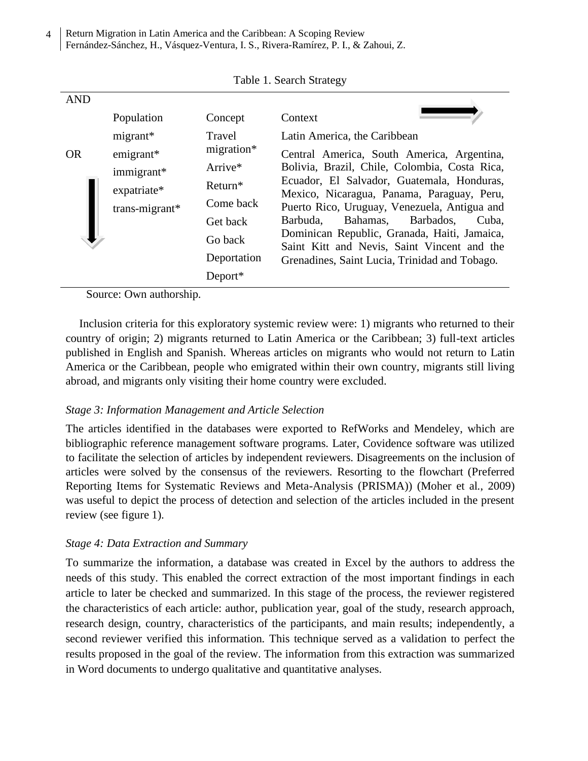Return Migration in Latin America and the Caribbean: A Scoping Review Fernández-Sánchez, H., Vásquez-Ventura, I. S., Rivera-Ramírez, P. I., & Zahoui, Z. 4

| <b>AND</b> |                |             |                                                                                             |
|------------|----------------|-------------|---------------------------------------------------------------------------------------------|
|            | Population     | Concept     | Context                                                                                     |
|            | $migrant*$     | Travel      | Latin America, the Caribbean                                                                |
| <b>OR</b>  | $emigrant*$    | migration*  | Central America, South America, Argentina,                                                  |
|            | immigrant*     | Arrive*     | Bolivia, Brazil, Chile, Colombia, Costa Rica,                                               |
|            | expatriate*    | $Return*$   | Ecuador, El Salvador, Guatemala, Honduras,                                                  |
|            | trans-migrant* | Come back   | Mexico, Nicaragua, Panama, Paraguay, Peru,<br>Puerto Rico, Uruguay, Venezuela, Antigua and  |
|            |                | Get back    | Bahamas,<br>Barbados,<br>Barbuda,<br>Cuba,                                                  |
|            |                | Go back     | Dominican Republic, Granada, Haiti, Jamaica,<br>Saint Kitt and Nevis, Saint Vincent and the |
|            |                | Deportation | Grenadines, Saint Lucia, Trinidad and Tobago.                                               |
|            |                | Deport $*$  |                                                                                             |

Table 1. Search Strategy

Source: Own authorship.

Inclusion criteria for this exploratory systemic review were: 1) migrants who returned to their country of origin; 2) migrants returned to Latin America or the Caribbean; 3) full-text articles published in English and Spanish. Whereas articles on migrants who would not return to Latin America or the Caribbean, people who emigrated within their own country, migrants still living abroad, and migrants only visiting their home country were excluded.

# *Stage 3: Information Management and Article Selection*

The articles identified in the databases were exported to RefWorks and Mendeley, which are bibliographic reference management software programs. Later, Covidence software was utilized to facilitate the selection of articles by independent reviewers. Disagreements on the inclusion of articles were solved by the consensus of the reviewers. Resorting to the flowchart (Preferred Reporting Items for Systematic Reviews and Meta-Analysis (PRISMA)) (Moher et al*.*, 2009) was useful to depict the process of detection and selection of the articles included in the present review (see figure 1).

# *Stage 4: Data Extraction and Summary*

To summarize the information, a database was created in Excel by the authors to address the needs of this study. This enabled the correct extraction of the most important findings in each article to later be checked and summarized. In this stage of the process, the reviewer registered the characteristics of each article: author, publication year, goal of the study, research approach, research design, country, characteristics of the participants, and main results; independently, a second reviewer verified this information. This technique served as a validation to perfect the results proposed in the goal of the review. The information from this extraction was summarized in Word documents to undergo qualitative and quantitative analyses.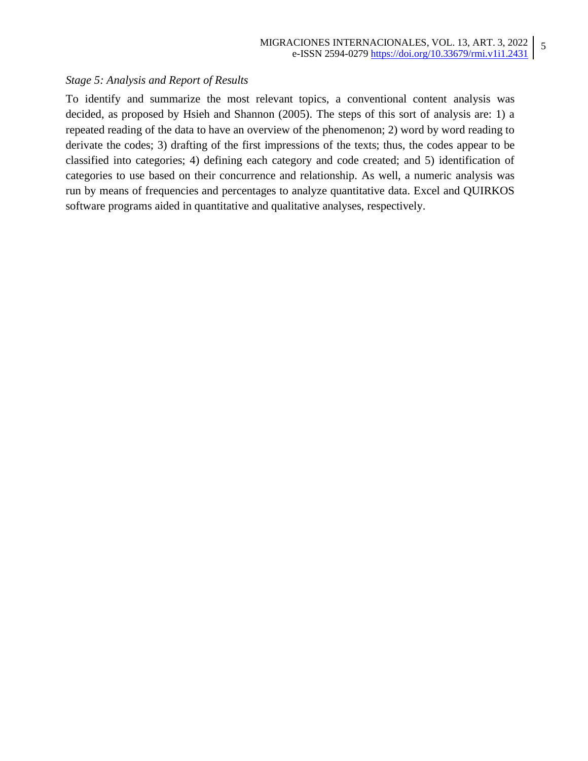5

# *Stage 5: Analysis and Report of Results*

To identify and summarize the most relevant topics, a conventional content analysis was decided, as proposed by Hsieh and Shannon (2005). The steps of this sort of analysis are: 1) a repeated reading of the data to have an overview of the phenomenon; 2) word by word reading to derivate the codes; 3) drafting of the first impressions of the texts; thus, the codes appear to be classified into categories; 4) defining each category and code created; and 5) identification of categories to use based on their concurrence and relationship. As well, a numeric analysis was run by means of frequencies and percentages to analyze quantitative data. Excel and QUIRKOS software programs aided in quantitative and qualitative analyses, respectively.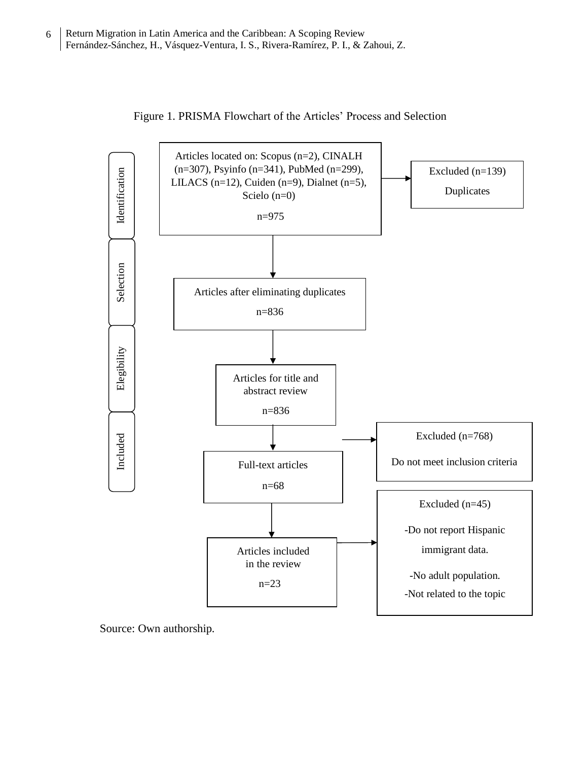

Figure 1. PRISMA Flowchart of the Articles' Process and Selection

Source: Own authorship.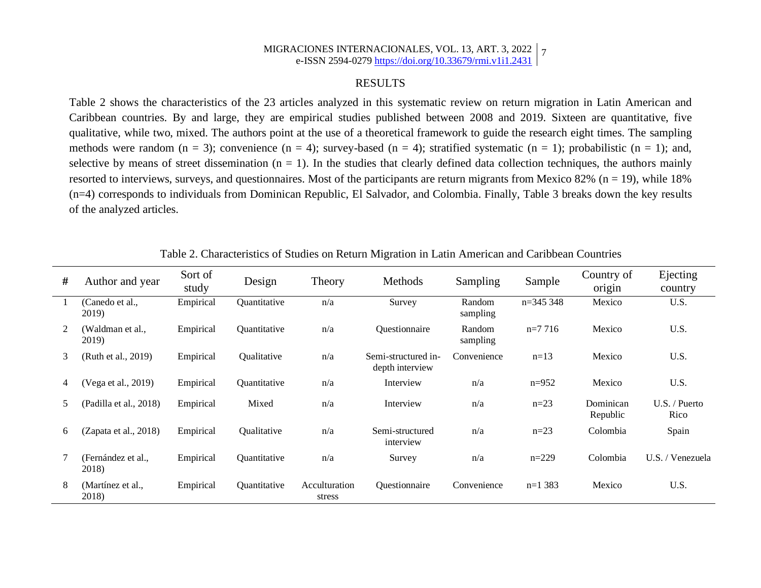#### MIGRACIONES INTERNACIONALES, VOL. 13, ART. 3, 2022 e-ISSN 2594-0279 <https://doi.org/10.33679/rmi.v1i1.2431> 7

# RESULTS

Table 2 shows the characteristics of the 23 articles analyzed in this systematic review on return migration in Latin American and Caribbean countries. By and large, they are empirical studies published between 2008 and 2019. Sixteen are quantitative, five qualitative, while two, mixed. The authors point at the use of a theoretical framework to guide the research eight times. The sampling methods were random  $(n = 3)$ ; convenience  $(n = 4)$ ; survey-based  $(n = 4)$ ; stratified systematic  $(n = 1)$ ; probabilistic  $(n = 1)$ ; and, selective by means of street dissemination  $(n = 1)$ . In the studies that clearly defined data collection techniques, the authors mainly resorted to interviews, surveys, and questionnaires. Most of the participants are return migrants from Mexico  $82\%$  (n = 19), while 18% (n=4) corresponds to individuals from Dominican Republic, El Salvador, and Colombia. Finally, Table 3 breaks down the key results of the analyzed articles.

| #  | Author and year             | Sort of<br>study | Design                     | Theory                  | Methods                                | Sampling           | Sample     | Country of<br>origin  | Ejecting<br>country     |
|----|-----------------------------|------------------|----------------------------|-------------------------|----------------------------------------|--------------------|------------|-----------------------|-------------------------|
|    | (Canedo et al.,<br>2019)    | Empirical        | Quantitative               | n/a                     | Survey                                 | Random<br>sampling | $n=345348$ | Mexico                | U.S.                    |
| 2  | (Waldman et al.,<br>2019)   | Empirical        | Quantitative               | n/a                     | Questionnaire                          | Random<br>sampling | $n=7716$   | Mexico                | U.S.                    |
| 3  | (Ruth et al., 2019)         | Empirical        | Qualitative                | n/a                     | Semi-structured in-<br>depth interview | Convenience        | $n=13$     | Mexico                | U.S.                    |
| 4  | (Vega et al., 2019)         | Empirical        | Quantitative               | n/a                     | Interview                              | n/a                | $n=952$    | Mexico                | U.S.                    |
| 5. | (Padilla et al., 2018)      | Empirical        | Mixed                      | n/a                     | Interview                              | n/a                | $n=23$     | Dominican<br>Republic | $U.S.$ / Puerto<br>Rico |
| 6  | (Zapata et al., 2018)       | Empirical        | Qualitative                | n/a                     | Semi-structured<br>interview           | n/a                | $n=23$     | Colombia              | Spain                   |
|    | (Fernández et al.,<br>2018) | Empirical        | Quantitative               | n/a                     | Survey                                 | n/a                | $n=229$    | Colombia              | U.S. / Venezuela        |
| 8  | (Martínez et al.,<br>2018)  | Empirical        | <i><b>Ouantitative</b></i> | Acculturation<br>stress | <i><b>Ouestionnaire</b></i>            | Convenience        | $n=1,383$  | Mexico                | U.S.                    |

Table 2. Characteristics of Studies on Return Migration in Latin American and Caribbean Countries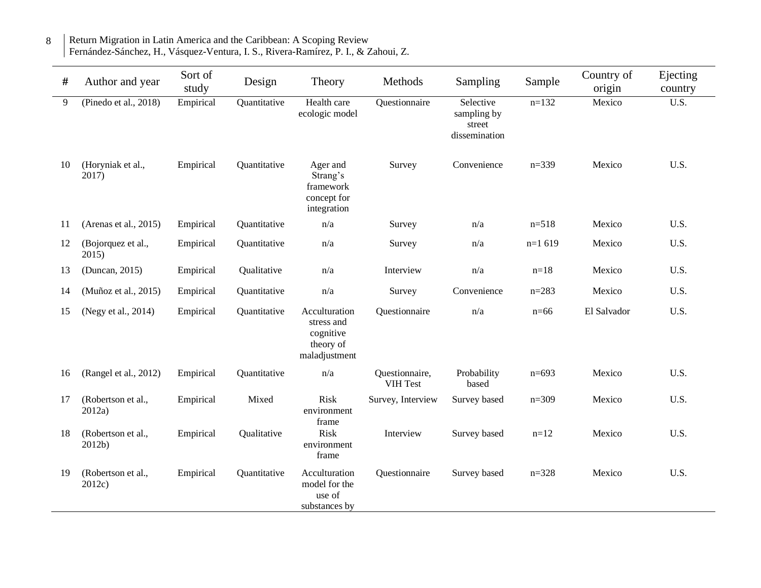| #  | Author and year              | Sort of<br>study | Design       | Theory                                                                 | Methods                    | Sampling                                            | Sample    | Country of<br>origin | Ejecting<br>country |
|----|------------------------------|------------------|--------------|------------------------------------------------------------------------|----------------------------|-----------------------------------------------------|-----------|----------------------|---------------------|
| 9  | (Pinedo et al., 2018)        | Empirical        | Quantitative | Health care<br>ecologic model                                          | Questionnaire              | Selective<br>sampling by<br>street<br>dissemination | $n=132$   | Mexico               | $\overline{U.S.}$   |
| 10 | (Horyniak et al.,<br>2017)   | Empirical        | Quantitative | Ager and<br>Strang's<br>framework<br>concept for<br>integration        | Survey                     | Convenience                                         | $n=339$   | Mexico               | U.S.                |
| 11 | (Arenas et al., $2015$ )     | Empirical        | Quantitative | n/a                                                                    | Survey                     | n/a                                                 | $n=518$   | Mexico               | U.S.                |
| 12 | (Bojorquez et al.,<br>2015)  | Empirical        | Quantitative | $\mathrm{n}/\mathrm{a}$                                                | Survey                     | n/a                                                 | $n=1619$  | Mexico               | U.S.                |
| 13 | (Duncan, 2015)               | Empirical        | Qualitative  | n/a                                                                    | Interview                  | n/a                                                 | $n = 18$  | Mexico               | U.S.                |
| 14 | (Muñoz et al., 2015)         | Empirical        | Quantitative | n/a                                                                    | Survey                     | Convenience                                         | $n = 283$ | Mexico               | U.S.                |
| 15 | (Negy et al., 2014)          | Empirical        | Quantitative | Acculturation<br>stress and<br>cognitive<br>theory of<br>maladjustment | Questionnaire              | n/a                                                 | $n=66$    | El Salvador          | U.S.                |
| 16 | (Rangel et al., 2012)        | Empirical        | Quantitative | n/a                                                                    | Questionnaire,<br>VIH Test | Probability<br>based                                | $n=693$   | Mexico               | U.S.                |
| 17 | (Robertson et al.,<br>2012a  | Empirical        | Mixed        | <b>Risk</b><br>environment<br>frame                                    | Survey, Interview          | Survey based                                        | $n=309$   | Mexico               | U.S.                |
| 18 | (Robertson et al.,<br>2012b) | Empirical        | Qualitative  | <b>Risk</b><br>environment<br>frame                                    | Interview                  | Survey based                                        | $n=12$    | Mexico               | U.S.                |
| 19 | (Robertson et al.,<br>2012c  | Empirical        | Quantitative | Acculturation<br>model for the<br>use of<br>substances by              | Questionnaire              | Survey based                                        | $n = 328$ | Mexico               | U.S.                |

#### Return Migration in Latin America and the Caribbean: A Scoping Review Fernández-Sánchez, H., Vásquez-Ventura, I. S., Rivera-Ramírez, P. I., & Zahoui, Z. 8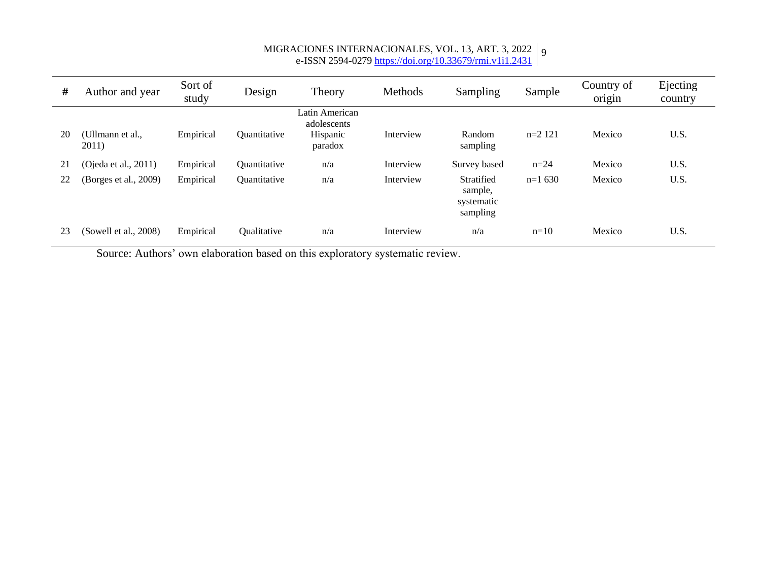#### MIGRACIONES INTERNACIONALES, VOL. 13, ART. 3, 2022 e-ISSN 2594-0279 <https://doi.org/10.33679/rmi.v1i1.2431> 9

| #  | Author and year           | Sort of<br>study | Design                     | Theory                                               | Methods   | Sampling                                        | Sample    | Country of<br>origin | Ejecting<br>country |
|----|---------------------------|------------------|----------------------------|------------------------------------------------------|-----------|-------------------------------------------------|-----------|----------------------|---------------------|
| 20 | (Ullmann et al.,<br>2011) | Empirical        | Quantitative               | Latin American<br>adolescents<br>Hispanic<br>paradox | Interview | Random<br>sampling                              | $n=2$ 121 | Mexico               | U.S.                |
| 21 | (Ojeda et al., $2011$ )   | Empirical        | <i><b>Ouantitative</b></i> | n/a                                                  | Interview | Survey based                                    | $n = 24$  | Mexico               | U.S.                |
| 22 | (Borges et al., 2009)     | Empirical        | Quantitative               | n/a                                                  | Interview | Stratified<br>sample,<br>systematic<br>sampling | $n=1630$  | Mexico               | U.S.                |
| 23 | (Sowell et al., 2008)     | Empirical        | Qualitative                | n/a                                                  | Interview | n/a                                             | $n=10$    | Mexico               | U.S.                |

Source: Authors' own elaboration based on this exploratory systematic review.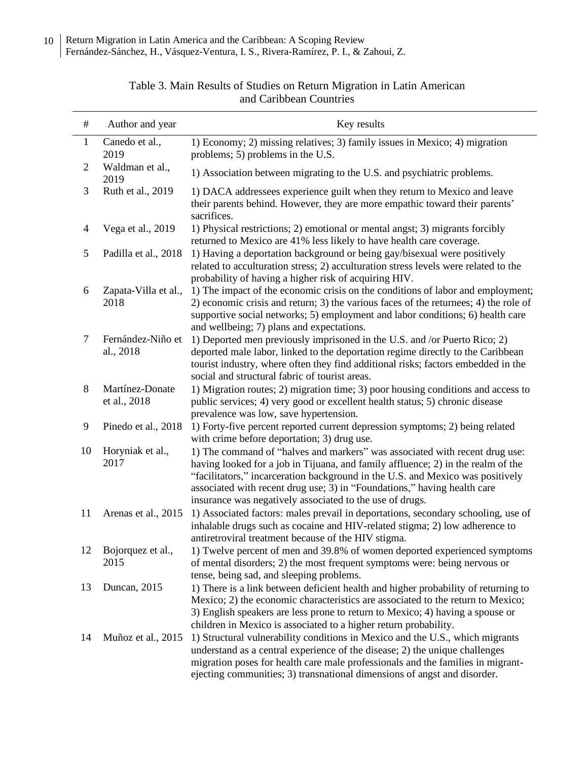| $\#$           | Author and year                 | Key results                                                                                                                                                                                                                                                                                                                                                                               |
|----------------|---------------------------------|-------------------------------------------------------------------------------------------------------------------------------------------------------------------------------------------------------------------------------------------------------------------------------------------------------------------------------------------------------------------------------------------|
| $\mathbf{1}$   | Canedo et al.,<br>2019          | 1) Economy; 2) missing relatives; 3) family issues in Mexico; 4) migration<br>problems; 5) problems in the U.S.                                                                                                                                                                                                                                                                           |
| $\overline{2}$ | Waldman et al.,<br>2019         | 1) Association between migrating to the U.S. and psychiatric problems.                                                                                                                                                                                                                                                                                                                    |
| 3              | Ruth et al., 2019               | 1) DACA addressees experience guilt when they return to Mexico and leave<br>their parents behind. However, they are more empathic toward their parents'<br>sacrifices.                                                                                                                                                                                                                    |
| $\overline{4}$ | Vega et al., 2019               | 1) Physical restrictions; 2) emotional or mental angst; 3) migrants forcibly<br>returned to Mexico are 41% less likely to have health care coverage.                                                                                                                                                                                                                                      |
| 5              | Padilla et al., 2018            | 1) Having a deportation background or being gay/bisexual were positively<br>related to acculturation stress; 2) acculturation stress levels were related to the<br>probability of having a higher risk of acquiring HIV.                                                                                                                                                                  |
| 6              | Zapata-Villa et al.,<br>2018    | 1) The impact of the economic crisis on the conditions of labor and employment;<br>2) economic crisis and return; 3) the various faces of the returnees; 4) the role of<br>supportive social networks; 5) employment and labor conditions; 6) health care<br>and wellbeing; 7) plans and expectations.                                                                                    |
| $\tau$         | Fernández-Niño et<br>al., 2018  | 1) Deported men previously imprisoned in the U.S. and /or Puerto Rico; 2)<br>deported male labor, linked to the deportation regime directly to the Caribbean<br>tourist industry, where often they find additional risks; factors embedded in the<br>social and structural fabric of tourist areas.                                                                                       |
| 8              | Martínez-Donate<br>et al., 2018 | 1) Migration routes; 2) migration time; 3) poor housing conditions and access to<br>public services; 4) very good or excellent health status; 5) chronic disease<br>prevalence was low, save hypertension.                                                                                                                                                                                |
| 9              | Pinedo et al., 2018             | 1) Forty-five percent reported current depression symptoms; 2) being related<br>with crime before deportation; 3) drug use.                                                                                                                                                                                                                                                               |
| 10             | Horyniak et al.,<br>2017        | 1) The command of "halves and markers" was associated with recent drug use:<br>having looked for a job in Tijuana, and family affluence; 2) in the realm of the<br>"facilitators," incarceration background in the U.S. and Mexico was positively<br>associated with recent drug use; 3) in "Foundations," having health care<br>insurance was negatively associated to the use of drugs. |
| 11             | Arenas et al., 2015             | 1) Associated factors: males prevail in deportations, secondary schooling, use of<br>inhalable drugs such as cocaine and HIV-related stigma; 2) low adherence to<br>antiretroviral treatment because of the HIV stigma.                                                                                                                                                                   |
| 12             | Bojorquez et al.,<br>2015       | 1) Twelve percent of men and 39.8% of women deported experienced symptoms<br>of mental disorders; 2) the most frequent symptoms were: being nervous or<br>tense, being sad, and sleeping problems.                                                                                                                                                                                        |
| 13             | Duncan, 2015                    | 1) There is a link between deficient health and higher probability of returning to<br>Mexico; 2) the economic characteristics are associated to the return to Mexico;<br>3) English speakers are less prone to return to Mexico; 4) having a spouse or<br>children in Mexico is associated to a higher return probability.                                                                |
| 14             | Muñoz et al., 2015              | 1) Structural vulnerability conditions in Mexico and the U.S., which migrants<br>understand as a central experience of the disease; 2) the unique challenges<br>migration poses for health care male professionals and the families in migrant-<br>ejecting communities; 3) transnational dimensions of angst and disorder.                                                               |

# Table 3. Main Results of Studies on Return Migration in Latin American and Caribbean Countries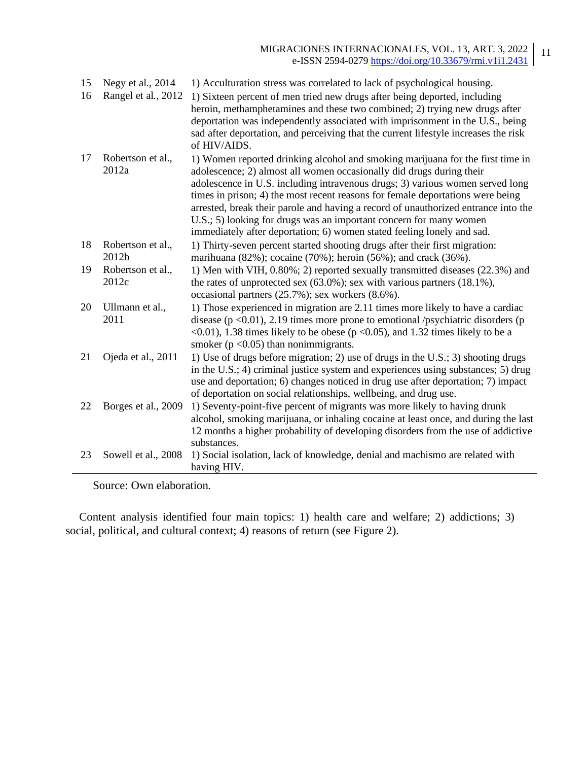| 15<br>16 | Negy et al., 2014<br>Rangel et al., 2012 | 1) Acculturation stress was correlated to lack of psychological housing.<br>1) Sixteen percent of men tried new drugs after being deported, including<br>heroin, methamphetamines and these two combined; 2) trying new drugs after<br>deportation was independently associated with imprisonment in the U.S., being<br>sad after deportation, and perceiving that the current lifestyle increases the risk                                                                   |
|----------|------------------------------------------|-------------------------------------------------------------------------------------------------------------------------------------------------------------------------------------------------------------------------------------------------------------------------------------------------------------------------------------------------------------------------------------------------------------------------------------------------------------------------------|
| 17       | Robertson et al.,                        | of HIV/AIDS.<br>1) Women reported drinking alcohol and smoking marijuana for the first time in                                                                                                                                                                                                                                                                                                                                                                                |
|          | 2012a                                    | adolescence; 2) almost all women occasionally did drugs during their<br>adolescence in U.S. including intravenous drugs; 3) various women served long<br>times in prison; 4) the most recent reasons for female deportations were being<br>arrested, break their parole and having a record of unauthorized entrance into the<br>U.S.; 5) looking for drugs was an important concern for many women<br>immediately after deportation; 6) women stated feeling lonely and sad. |
| 18       | Robertson et al.,<br>2012b               | 1) Thirty-seven percent started shooting drugs after their first migration:<br>marihuana (82%); cocaine (70%); heroin (56%); and crack (36%).                                                                                                                                                                                                                                                                                                                                 |
| 19       | Robertson et al.,<br>2012c               | 1) Men with VIH, 0.80%; 2) reported sexually transmitted diseases (22.3%) and<br>the rates of unprotected sex $(63.0\%)$ ; sex with various partners $(18.1\%)$ ,<br>occasional partners (25.7%); sex workers (8.6%).                                                                                                                                                                                                                                                         |
| 20       | Ullmann et al.,<br>2011                  | 1) Those experienced in migration are 2.11 times more likely to have a cardiac<br>disease ( $p \le 0.01$ ), 2.19 times more prone to emotional /psychiatric disorders ( $p$<br>$\langle 0.01 \rangle$ , 1.38 times likely to be obese ( $p \langle 0.05 \rangle$ , and 1.32 times likely to be a<br>smoker ( $p < 0.05$ ) than nonimmigrants.                                                                                                                                 |
| 21       | Ojeda et al., 2011                       | 1) Use of drugs before migration; 2) use of drugs in the U.S.; 3) shooting drugs<br>in the U.S.; 4) criminal justice system and experiences using substances; 5) drug<br>use and deportation; 6) changes noticed in drug use after deportation; 7) impact<br>of deportation on social relationships, wellbeing, and drug use.                                                                                                                                                 |
| 22       | Borges et al., 2009                      | 1) Seventy-point-five percent of migrants was more likely to having drunk<br>alcohol, smoking marijuana, or inhaling cocaine at least once, and during the last<br>12 months a higher probability of developing disorders from the use of addictive<br>substances.                                                                                                                                                                                                            |
| 23       | Sowell et al., 2008                      | 1) Social isolation, lack of knowledge, denial and machismo are related with<br>having HIV.                                                                                                                                                                                                                                                                                                                                                                                   |

Source: Own elaboration.

Content analysis identified four main topics: 1) health care and welfare; 2) addictions; 3) social, political, and cultural context; 4) reasons of return (see Figure 2).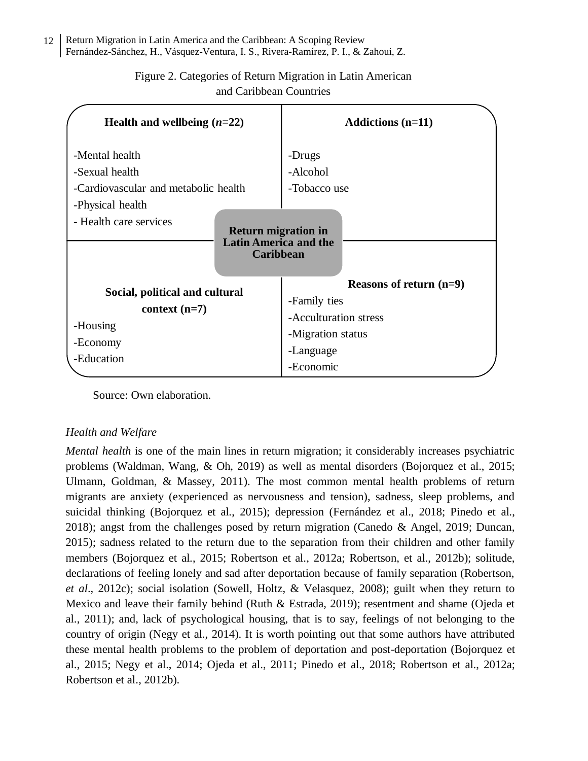#### Return Migration in Latin America and the Caribbean: A Scoping Review Fernández-Sánchez, H., Vásquez-Ventura, I. S., Rivera-Ramírez, P. I., & Zahoui, Z. 12

| Health and wellbeing $(n=22)$                                                                                          | Addictions $(n=11)$                                                                                               |
|------------------------------------------------------------------------------------------------------------------------|-------------------------------------------------------------------------------------------------------------------|
| -Mental health<br>-Sexual health<br>-Cardiovascular and metabolic health<br>-Physical health<br>- Health care services | -Drugs<br>-Alcohol<br>-Tobacco use                                                                                |
| <b>Return migration in</b><br><b>Latin America and the</b><br><b>Caribbean</b>                                         |                                                                                                                   |
| Social, political and cultural<br>context $(n=7)$<br>-Housing<br>-Economy<br>-Education                                | Reasons of return $(n=9)$<br>-Family ties<br>-Acculturation stress<br>-Migration status<br>-Language<br>-Economic |

# Figure 2. Categories of Return Migration in Latin American and Caribbean Countries

Source: Own elaboration.

# *Health and Welfare*

*Mental health* is one of the main lines in return migration; it considerably increases psychiatric problems (Waldman, Wang, & Oh, 2019) as well as mental disorders (Bojorquez et al., 2015; Ulmann, Goldman, & Massey, 2011). The most common mental health problems of return migrants are anxiety (experienced as nervousness and tension), sadness, sleep problems, and suicidal thinking (Bojorquez et al., 2015); depression (Fernández et al., 2018; Pinedo et al., 2018); angst from the challenges posed by return migration (Canedo & Angel, 2019; Duncan, 2015); sadness related to the return due to the separation from their children and other family members (Bojorquez et al., 2015; Robertson et al., 2012a; Robertson, et al., 2012b); solitude, declarations of feeling lonely and sad after deportation because of family separation (Robertson, *et al*., 2012c); social isolation (Sowell, Holtz, & Velasquez, 2008); guilt when they return to Mexico and leave their family behind (Ruth & Estrada, 2019); resentment and shame (Ojeda et al., 2011); and, lack of psychological housing, that is to say, feelings of not belonging to the country of origin (Negy et al., 2014). It is worth pointing out that some authors have attributed these mental health problems to the problem of deportation and post-deportation (Bojorquez et al., 2015; Negy et al., 2014; Ojeda et al., 2011; Pinedo et al., 2018; Robertson et al., 2012a; Robertson et al., 2012b).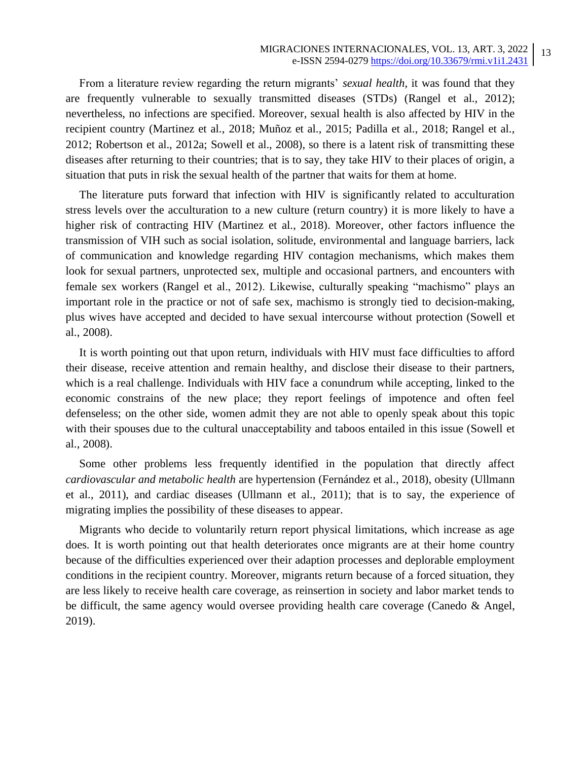From a literature review regarding the return migrants' *sexual health*, it was found that they are frequently vulnerable to sexually transmitted diseases (STDs) (Rangel et al., 2012); nevertheless, no infections are specified. Moreover, sexual health is also affected by HIV in the recipient country (Martinez et al., 2018; Muñoz et al., 2015; Padilla et al., 2018; Rangel et al., 2012; Robertson et al., 2012a; Sowell et al., 2008), so there is a latent risk of transmitting these diseases after returning to their countries; that is to say, they take HIV to their places of origin, a situation that puts in risk the sexual health of the partner that waits for them at home.

The literature puts forward that infection with HIV is significantly related to acculturation stress levels over the acculturation to a new culture (return country) it is more likely to have a higher risk of contracting HIV (Martinez et al., 2018). Moreover, other factors influence the transmission of VIH such as social isolation, solitude, environmental and language barriers, lack of communication and knowledge regarding HIV contagion mechanisms, which makes them look for sexual partners, unprotected sex, multiple and occasional partners, and encounters with female sex workers (Rangel et al., 2012). Likewise, culturally speaking "machismo" plays an important role in the practice or not of safe sex, machismo is strongly tied to decision-making, plus wives have accepted and decided to have sexual intercourse without protection (Sowell et al., 2008).

It is worth pointing out that upon return, individuals with HIV must face difficulties to afford their disease, receive attention and remain healthy, and disclose their disease to their partners, which is a real challenge. Individuals with HIV face a conundrum while accepting, linked to the economic constrains of the new place; they report feelings of impotence and often feel defenseless; on the other side, women admit they are not able to openly speak about this topic with their spouses due to the cultural unacceptability and taboos entailed in this issue (Sowell et al., 2008).

Some other problems less frequently identified in the population that directly affect *cardiovascular and metabolic health* are hypertension (Fernández et al., 2018), obesity (Ullmann et al., 2011), and cardiac diseases (Ullmann et al., 2011); that is to say, the experience of migrating implies the possibility of these diseases to appear.

Migrants who decide to voluntarily return report physical limitations, which increase as age does. It is worth pointing out that health deteriorates once migrants are at their home country because of the difficulties experienced over their adaption processes and deplorable employment conditions in the recipient country. Moreover, migrants return because of a forced situation, they are less likely to receive health care coverage, as reinsertion in society and labor market tends to be difficult, the same agency would oversee providing health care coverage (Canedo & Angel, 2019).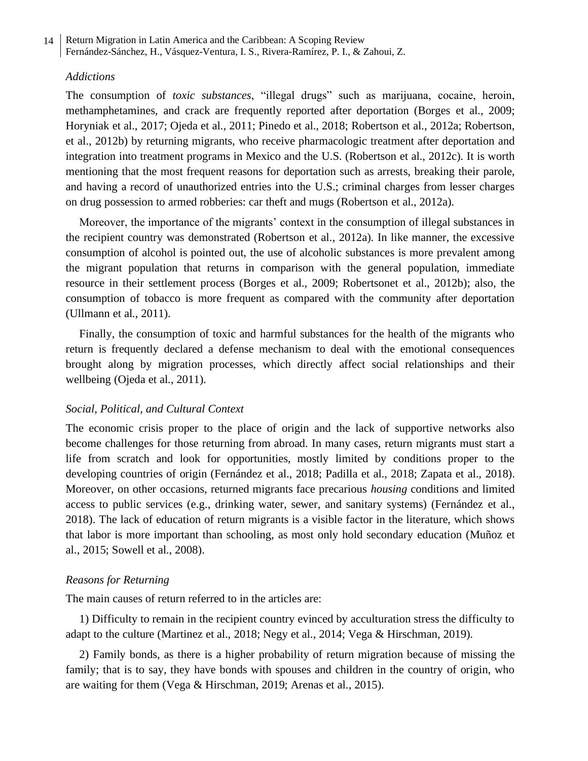# *Addictions*

The consumption of *toxic substances*, "illegal drugs" such as marijuana, cocaine, heroin, methamphetamines, and crack are frequently reported after deportation (Borges et al., 2009; Horyniak et al., 2017; Ojeda et al., 2011; Pinedo et al., 2018; Robertson et al., 2012a; Robertson, et al., 2012b) by returning migrants, who receive pharmacologic treatment after deportation and integration into treatment programs in Mexico and the U.S. (Robertson et al., 2012c). It is worth mentioning that the most frequent reasons for deportation such as arrests, breaking their parole, and having a record of unauthorized entries into the U.S.; criminal charges from lesser charges on drug possession to armed robberies: car theft and mugs (Robertson et al., 2012a).

Moreover, the importance of the migrants' context in the consumption of illegal substances in the recipient country was demonstrated (Robertson et al., 2012a). In like manner, the excessive consumption of alcohol is pointed out, the use of alcoholic substances is more prevalent among the migrant population that returns in comparison with the general population, immediate resource in their settlement process (Borges et al., 2009; Robertsonet et al., 2012b); also, the consumption of tobacco is more frequent as compared with the community after deportation (Ullmann et al., 2011).

Finally, the consumption of toxic and harmful substances for the health of the migrants who return is frequently declared a defense mechanism to deal with the emotional consequences brought along by migration processes, which directly affect social relationships and their wellbeing (Ojeda et al., 2011).

# *Social, Political, and Cultural Context*

The economic crisis proper to the place of origin and the lack of supportive networks also become challenges for those returning from abroad. In many cases, return migrants must start a life from scratch and look for opportunities, mostly limited by conditions proper to the developing countries of origin (Fernández et al., 2018; Padilla et al., 2018; Zapata et al., 2018). Moreover, on other occasions, returned migrants face precarious *housing* conditions and limited access to public services (e.g., drinking water, sewer, and sanitary systems) (Fernández et al., 2018). The lack of education of return migrants is a visible factor in the literature, which shows that labor is more important than schooling, as most only hold secondary education (Muñoz et al., 2015; Sowell et al., 2008).

# *Reasons for Returning*

The main causes of return referred to in the articles are:

1) Difficulty to remain in the recipient country evinced by acculturation stress the difficulty to adapt to the culture (Martinez et al., 2018; Negy et al., 2014; Vega & Hirschman, 2019).

2) Family bonds, as there is a higher probability of return migration because of missing the family; that is to say, they have bonds with spouses and children in the country of origin, who are waiting for them (Vega & Hirschman, 2019; Arenas et al., 2015).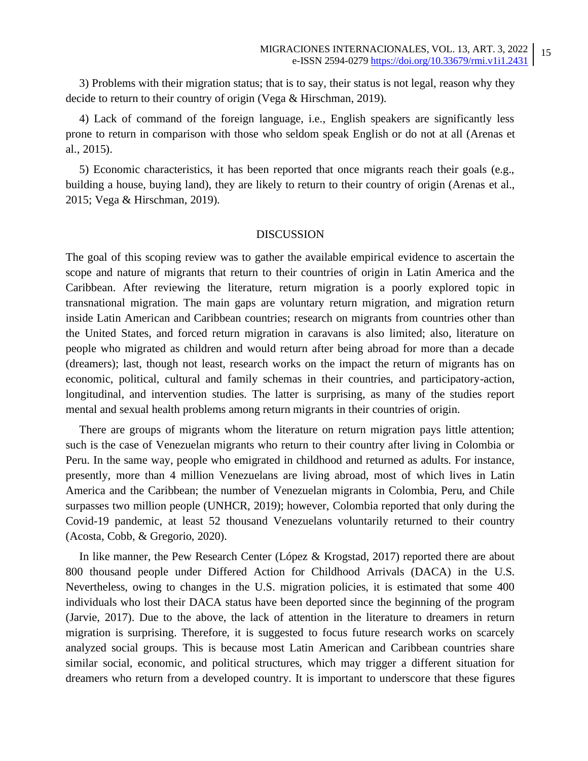3) Problems with their migration status; that is to say, their status is not legal, reason why they decide to return to their country of origin (Vega & Hirschman, 2019).

4) Lack of command of the foreign language, i.e., English speakers are significantly less prone to return in comparison with those who seldom speak English or do not at all (Arenas et al., 2015).

5) Economic characteristics, it has been reported that once migrants reach their goals (e.g., building a house, buying land), they are likely to return to their country of origin (Arenas et al., 2015; Vega & Hirschman, 2019).

### DISCUSSION

The goal of this scoping review was to gather the available empirical evidence to ascertain the scope and nature of migrants that return to their countries of origin in Latin America and the Caribbean. After reviewing the literature, return migration is a poorly explored topic in transnational migration. The main gaps are voluntary return migration, and migration return inside Latin American and Caribbean countries; research on migrants from countries other than the United States, and forced return migration in caravans is also limited; also, literature on people who migrated as children and would return after being abroad for more than a decade (dreamers); last, though not least, research works on the impact the return of migrants has on economic, political, cultural and family schemas in their countries, and participatory-action, longitudinal, and intervention studies. The latter is surprising, as many of the studies report mental and sexual health problems among return migrants in their countries of origin.

There are groups of migrants whom the literature on return migration pays little attention; such is the case of Venezuelan migrants who return to their country after living in Colombia or Peru. In the same way, people who emigrated in childhood and returned as adults. For instance, presently, more than 4 million Venezuelans are living abroad, most of which lives in Latin America and the Caribbean; the number of Venezuelan migrants in Colombia, Peru, and Chile surpasses two million people (UNHCR, 2019); however, Colombia reported that only during the Covid-19 pandemic, at least 52 thousand Venezuelans voluntarily returned to their country (Acosta, Cobb, & Gregorio, 2020).

In like manner, the Pew Research Center (López & Krogstad, 2017) reported there are about 800 thousand people under Differed Action for Childhood Arrivals (DACA) in the U.S. Nevertheless, owing to changes in the U.S. migration policies, it is estimated that some 400 individuals who lost their DACA status have been deported since the beginning of the program (Jarvie, 2017). Due to the above, the lack of attention in the literature to dreamers in return migration is surprising. Therefore, it is suggested to focus future research works on scarcely analyzed social groups. This is because most Latin American and Caribbean countries share similar social, economic, and political structures, which may trigger a different situation for dreamers who return from a developed country. It is important to underscore that these figures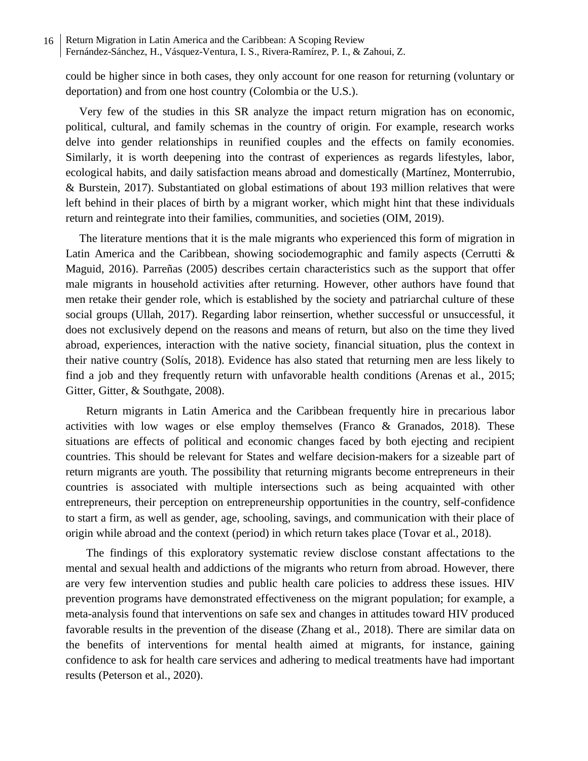could be higher since in both cases, they only account for one reason for returning (voluntary or deportation) and from one host country (Colombia or the U.S.).

Very few of the studies in this SR analyze the impact return migration has on economic, political, cultural, and family schemas in the country of origin. For example, research works delve into gender relationships in reunified couples and the effects on family economies. Similarly, it is worth deepening into the contrast of experiences as regards lifestyles, labor, ecological habits, and daily satisfaction means abroad and domestically (Martínez, Monterrubio, & Burstein, 2017). Substantiated on global estimations of about 193 million relatives that were left behind in their places of birth by a migrant worker, which might hint that these individuals return and reintegrate into their families, communities, and societies (OIM, 2019).

The literature mentions that it is the male migrants who experienced this form of migration in Latin America and the Caribbean, showing sociodemographic and family aspects (Cerrutti & Maguid, 2016). Parreñas (2005) describes certain characteristics such as the support that offer male migrants in household activities after returning. However, other authors have found that men retake their gender role, which is established by the society and patriarchal culture of these social groups (Ullah, 2017). Regarding labor reinsertion, whether successful or unsuccessful, it does not exclusively depend on the reasons and means of return, but also on the time they lived abroad, experiences, interaction with the native society, financial situation, plus the context in their native country (Solís, 2018). Evidence has also stated that returning men are less likely to find a job and they frequently return with unfavorable health conditions (Arenas et al., 2015; Gitter, Gitter, & Southgate, 2008).

Return migrants in Latin America and the Caribbean frequently hire in precarious labor activities with low wages or else employ themselves (Franco & Granados, 2018). These situations are effects of political and economic changes faced by both ejecting and recipient countries. This should be relevant for States and welfare decision-makers for a sizeable part of return migrants are youth. The possibility that returning migrants become entrepreneurs in their countries is associated with multiple intersections such as being acquainted with other entrepreneurs, their perception on entrepreneurship opportunities in the country, self-confidence to start a firm, as well as gender, age, schooling, savings, and communication with their place of origin while abroad and the context (period) in which return takes place (Tovar et al., 2018).

The findings of this exploratory systematic review disclose constant affectations to the mental and sexual health and addictions of the migrants who return from abroad. However, there are very few intervention studies and public health care policies to address these issues. HIV prevention programs have demonstrated effectiveness on the migrant population; for example, a meta-analysis found that interventions on safe sex and changes in attitudes toward HIV produced favorable results in the prevention of the disease (Zhang et al., 2018). There are similar data on the benefits of interventions for mental health aimed at migrants, for instance, gaining confidence to ask for health care services and adhering to medical treatments have had important results (Peterson et al., 2020).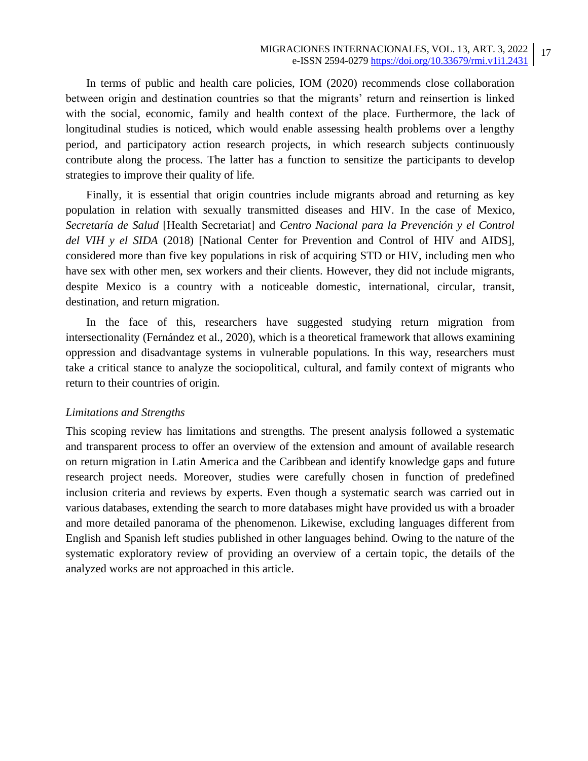In terms of public and health care policies, IOM (2020) recommends close collaboration between origin and destination countries so that the migrants' return and reinsertion is linked with the social, economic, family and health context of the place. Furthermore, the lack of longitudinal studies is noticed, which would enable assessing health problems over a lengthy period, and participatory action research projects, in which research subjects continuously contribute along the process. The latter has a function to sensitize the participants to develop strategies to improve their quality of life.

Finally, it is essential that origin countries include migrants abroad and returning as key population in relation with sexually transmitted diseases and HIV. In the case of Mexico, *Secretaría de Salud* [Health Secretariat] and *Centro Nacional para la Prevención y el Control del VIH y el SIDA* (2018) [National Center for Prevention and Control of HIV and AIDS], considered more than five key populations in risk of acquiring STD or HIV, including men who have sex with other men, sex workers and their clients. However, they did not include migrants, despite Mexico is a country with a noticeable domestic, international, circular, transit, destination, and return migration.

In the face of this, researchers have suggested studying return migration from intersectionality (Fernández et al., 2020), which is a theoretical framework that allows examining oppression and disadvantage systems in vulnerable populations. In this way, researchers must take a critical stance to analyze the sociopolitical, cultural, and family context of migrants who return to their countries of origin.

# *Limitations and Strengths*

This scoping review has limitations and strengths. The present analysis followed a systematic and transparent process to offer an overview of the extension and amount of available research on return migration in Latin America and the Caribbean and identify knowledge gaps and future research project needs. Moreover, studies were carefully chosen in function of predefined inclusion criteria and reviews by experts. Even though a systematic search was carried out in various databases, extending the search to more databases might have provided us with a broader and more detailed panorama of the phenomenon. Likewise, excluding languages different from English and Spanish left studies published in other languages behind. Owing to the nature of the systematic exploratory review of providing an overview of a certain topic, the details of the analyzed works are not approached in this article.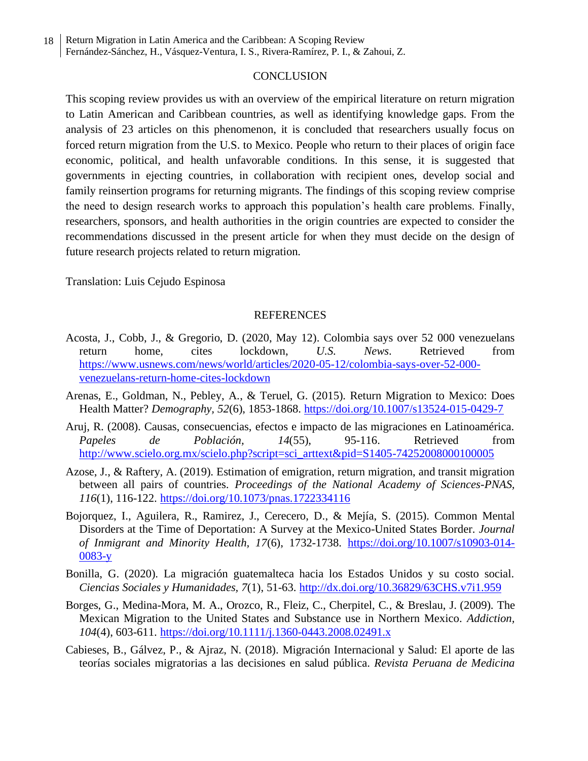# **CONCLUSION**

This scoping review provides us with an overview of the empirical literature on return migration to Latin American and Caribbean countries, as well as identifying knowledge gaps. From the analysis of 23 articles on this phenomenon, it is concluded that researchers usually focus on forced return migration from the U.S. to Mexico. People who return to their places of origin face economic, political, and health unfavorable conditions. In this sense, it is suggested that governments in ejecting countries, in collaboration with recipient ones, develop social and family reinsertion programs for returning migrants. The findings of this scoping review comprise the need to design research works to approach this population's health care problems. Finally, researchers, sponsors, and health authorities in the origin countries are expected to consider the recommendations discussed in the present article for when they must decide on the design of future research projects related to return migration.

Translation: Luis Cejudo Espinosa

### REFERENCES

- Acosta, J., Cobb, J., & Gregorio, D. (2020, May 12). Colombia says over 52 000 venezuelans return home, cites lockdown, *U.S. News*. Retrieved from [https://www.usnews.com/news/world/articles/2020-05-12/colombia-says-over-52-000](https://www.usnews.com/news/world/articles/2020-05-12/colombia-says-over-52-000-venezuelans-return-home-cites-lockdown) [venezuelans-return-home-cites-lockdown](https://www.usnews.com/news/world/articles/2020-05-12/colombia-says-over-52-000-venezuelans-return-home-cites-lockdown)
- Arenas, E., Goldman, N., Pebley, A., & Teruel, G. (2015). Return Migration to Mexico: Does Health Matter? *Demography, 52*(6), 1853-1868.<https://doi.org/10.1007/s13524-015-0429-7>
- Aruj, R. (2008). Causas, consecuencias, efectos e impacto de las migraciones en Latinoamérica. *Papeles de Población, 14*(55), 95-116. Retrieved from [http://www.scielo.org.mx/scielo.php?script=sci\\_arttext&pid=S1405-74252008000100005](http://www.scielo.org.mx/scielo.php?script=sci_arttext&pid=S1405-74252008000100005)
- Azose, J., & Raftery, A. (2019). Estimation of emigration, return migration, and transit migration between all pairs of countries. *Proceedings of the National Academy of Sciences-PNAS, 116*(1), 116-122.<https://doi.org/10.1073/pnas.1722334116>
- Bojorquez, I., Aguilera, R., Ramirez, J., Cerecero, D., & Mejía, S. (2015). Common Mental Disorders at the Time of Deportation: A Survey at the Mexico-United States Border. *Journal of Inmigrant and Minority Health, 17*(6), 1732-1738. [https://doi.org/10.1007/s10903-014-](https://doi.org/10.1007/s10903-014-0083-y) [0083-y](https://doi.org/10.1007/s10903-014-0083-y)
- Bonilla, G. (2020). La migración guatemalteca hacia los Estados Unidos y su costo social. *Ciencias Sociales y Humanidades, 7*(1), 51-63.<http://dx.doi.org/10.36829/63CHS.v7i1.959>
- Borges, G., Medina-Mora, M. A., Orozco, R., Fleiz, C., Cherpitel, C., & Breslau, J. (2009). The Mexican Migration to the United States and Substance use in Northern Mexico. *Addiction, 104*(4), 603-611.<https://doi.org/10.1111/j.1360-0443.2008.02491.x>
- Cabieses, B., Gálvez, P., & Ajraz, N. (2018). Migración Internacional y Salud: El aporte de las teorías sociales migratorias a las decisiones en salud pública. *Revista Peruana de Medicina*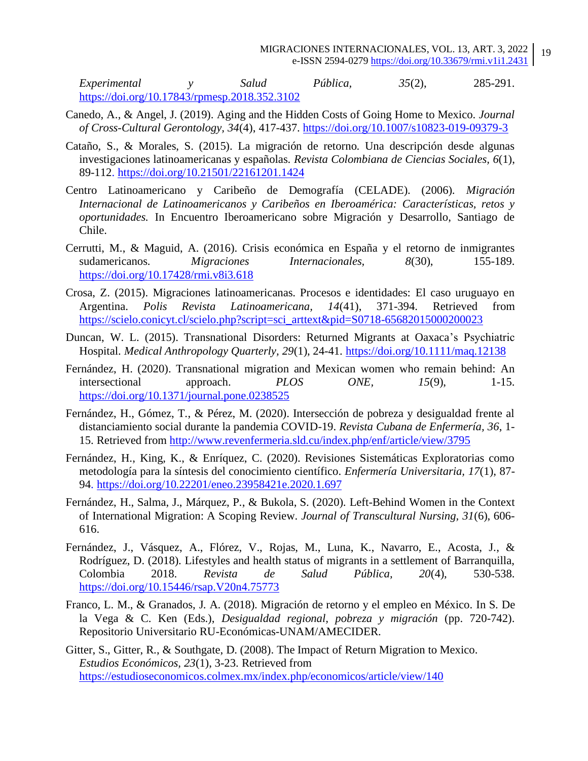*Experimental y Salud Pública, 35*(2), 285-291. <https://doi.org/10.17843/rpmesp.2018.352.3102>

- Canedo, A., & Angel, J. (2019). Aging and the Hidden Costs of Going Home to Mexico. *Journal of Cross-Cultural Gerontology, 34*(4), 417-437. <https://doi.org/10.1007/s10823-019-09379-3>
- Cataño, S., & Morales, S. (2015). La migración de retorno. Una descripción desde algunas investigaciones latinoamericanas y españolas. *Revista Colombiana de Ciencias Sociales, 6*(1), 89-112.<https://doi.org/10.21501/22161201.1424>
- Centro Latinoamericano y Caribeño de Demografía (CELADE). (2006). *Migración Internacional de Latinoamericanos y Caribeños en Iberoamérica: Características, retos y oportunidades.* In Encuentro Iberoamericano sobre Migración y Desarrollo, Santiago de Chile.
- Cerrutti, M., & Maguid, A. (2016). Crisis económica en España y el retorno de inmigrantes sudamericanos. *Migraciones Internacionales*, 8(30), 155-189. <https://doi.org/10.17428/rmi.v8i3.618>
- Crosa, Z. (2015). Migraciones latinoamericanas. Procesos e identidades: El caso uruguayo en Argentina. *Polis Revista Latinoamericana, 14*(41), 371-394. Retrieved from [https://scielo.conicyt.cl/scielo.php?script=sci\\_arttext&pid=S0718-65682015000200023](https://scielo.conicyt.cl/scielo.php?script=sci_arttext&pid=S0718-65682015000200023)
- Duncan, W. L. (2015). Transnational Disorders: Returned Migrants at Oaxaca's Psychiatric Hospital. *Medical Anthropology Quarterly, 29*(1), 24-41. <https://doi.org/10.1111/maq.12138>
- Fernández, H. (2020). Transnational migration and Mexican women who remain behind: An intersectional approach. *PLOS ONE, 15*(9), 1-15. <https://doi.org/10.1371/journal.pone.0238525>
- Fernández, H., Gómez, T., & Pérez, M. (2020). Intersección de pobreza y desigualdad frente al distanciamiento social durante la pandemia COVID-19. *Revista Cubana de Enfermería, 36*, 1- 15. Retrieved from <http://www.revenfermeria.sld.cu/index.php/enf/article/view/3795>
- Fernández, H., King, K., & Enríquez, C. (2020). Revisiones Sistemáticas Exploratorias como metodología para la síntesis del conocimiento científico. *Enfermería Universitaria, 17*(1), 87- 94.<https://doi.org/10.22201/eneo.23958421e.2020.1.697>
- Fernández, H., Salma, J., Márquez, P., & Bukola, S. (2020). Left-Behind Women in the Context of International Migration: A Scoping Review. *Journal of Transcultural Nursing, 31*(6), 606- 616.
- Fernández, J., Vásquez, A., Flórez, V., Rojas, M., Luna, K., Navarro, E., Acosta, J., & Rodríguez, D. (2018). Lifestyles and health status of migrants in a settlement of Barranquilla, Colombia 2018. *Revista de Salud Pública, 20*(4), 530-538. <https://doi.org/10.15446/rsap.V20n4.75773>
- Franco, L. M., & Granados, J. A. (2018). Migración de retorno y el empleo en México. In S. De la Vega & C. Ken (Eds.), *Desigualdad regional, pobreza y migración* (pp. 720-742). Repositorio Universitario RU-Económicas-UNAM/AMECIDER.

Gitter, S., Gitter, R., & Southgate, D. (2008). The Impact of Return Migration to Mexico. *Estudios Económicos, 23*(1), 3-23. Retrieved from <https://estudioseconomicos.colmex.mx/index.php/economicos/article/view/140>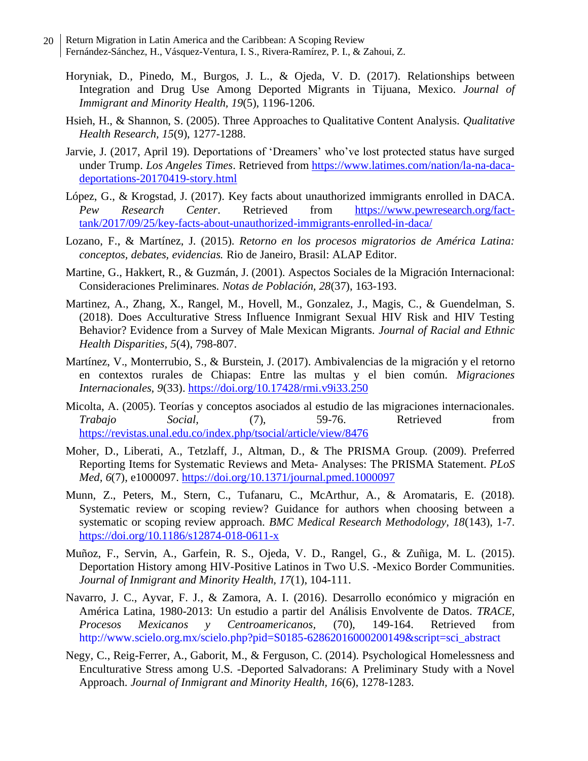- Return Migration in Latin America and the Caribbean: A Scoping Review Fernández-Sánchez, H., Vásquez-Ventura, I. S., Rivera-Ramírez, P. I., & Zahoui, Z. 20
	- Horyniak, D., Pinedo, M., Burgos, J. L., & Ojeda, V. D. (2017). Relationships between Integration and Drug Use Among Deported Migrants in Tijuana, Mexico. *Journal of Immigrant and Minority Health, 19*(5), 1196-1206.
	- Hsieh, H., & Shannon, S. (2005). Three Approaches to Qualitative Content Analysis. *Qualitative Health Research, 15*(9), 1277-1288.
	- Jarvie, J. (2017, April 19). Deportations of 'Dreamers' who've lost protected status have surged under Trump. *Los Angeles Times*. Retrieved from [https://www.latimes.com/nation/la-na-daca](https://www.latimes.com/nation/la-na-daca-deportations-20170419-story.html)[deportations-20170419-story.html](https://www.latimes.com/nation/la-na-daca-deportations-20170419-story.html)
	- López, G., & Krogstad, J. (2017). Key facts about unauthorized immigrants enrolled in DACA. *Pew Research Center*. Retrieved from [https://www.pewresearch.org/fact](https://www.pewresearch.org/fact-tank/2017/09/25/key-facts-about-unauthorized-immigrants-enrolled-in-daca/)[tank/2017/09/25/key-facts-about-unauthorized-immigrants-enrolled-in-daca/](https://www.pewresearch.org/fact-tank/2017/09/25/key-facts-about-unauthorized-immigrants-enrolled-in-daca/)
	- Lozano, F., & Martínez, J. (2015). *Retorno en los procesos migratorios de América Latina: conceptos, debates, evidencias.* Rio de Janeiro, Brasil: ALAP Editor.
	- Martine, G., Hakkert, R., & Guzmán, J. (2001). Aspectos Sociales de la Migración Internacional: Consideraciones Preliminares. *Notas de Población, 28*(37), 163-193.
	- Martinez, A., Zhang, X., Rangel, M., Hovell, M., Gonzalez, J., Magis, C., & Guendelman, S. (2018). Does Acculturative Stress Influence Inmigrant Sexual HIV Risk and HIV Testing Behavior? Evidence from a Survey of Male Mexican Migrants. *Journal of Racial and Ethnic Health Disparities, 5*(4), 798-807.
	- Martínez, V., Monterrubio, S., & Burstein, J. (2017). Ambivalencias de la migración y el retorno en contextos rurales de Chiapas: Entre las multas y el bien común. *Migraciones Internacionales, 9*(33).<https://doi.org/10.17428/rmi.v9i33.250>
	- Micolta, A. (2005). Teorías y conceptos asociados al estudio de las migraciones internacionales. *Trabajo Social,* (7), 59-76. Retrieved from <https://revistas.unal.edu.co/index.php/tsocial/article/view/8476>
	- Moher, D., Liberati, A., Tetzlaff, J., Altman, D., & The PRISMA Group. (2009). Preferred Reporting Items for Systematic Reviews and Meta- Analyses: The PRISMA Statement. *PLoS Med, 6*(7), e1000097.<https://doi.org/10.1371/journal.pmed.1000097>
	- Munn, Z., Peters, M., Stern, C., Tufanaru, C., McArthur, A., & Aromataris, E. (2018). Systematic review or scoping review? Guidance for authors when choosing between a systematic or scoping review approach. *BMC Medical Research Methodology, 18*(143), 1-7. <https://doi.org/10.1186/s12874-018-0611-x>
	- Muñoz, F., Servin, A., Garfein, R. S., Ojeda, V. D., Rangel, G., & Zuñiga, M. L. (2015). Deportation History among HIV-Positive Latinos in Two U.S. -Mexico Border Communities. *Journal of Inmigrant and Minority Health, 17*(1), 104-111.
	- Navarro, J. C., Ayvar, F. J., & Zamora, A. I. (2016). Desarrollo económico y migración en América Latina, 1980-2013: Un estudio a partir del Análisis Envolvente de Datos. *TRACE, Procesos Mexicanos y Centroamericanos,* (70), 149-164. Retrieved from [http://www.scielo.org.mx/scielo.php?pid=S0185-](http://www.scielo.org.mx/scielo.php?pid=S0185)62862016000200149&script=sci\_abstract
	- Negy, C., Reig-Ferrer, A., Gaborit, M., & Ferguson, C. (2014). Psychological Homelessness and Enculturative Stress among U.S. -Deported Salvadorans: A Preliminary Study with a Novel Approach. *Journal of Inmigrant and Minority Health, 16*(6), 1278-1283.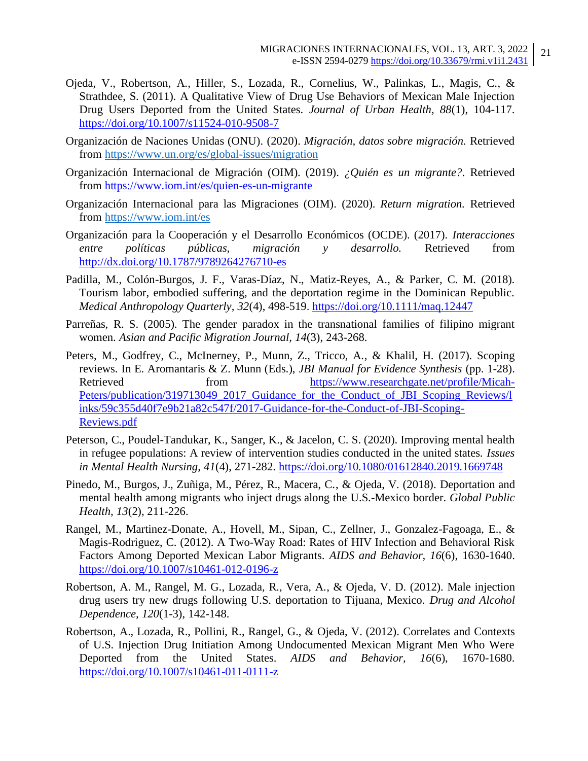- Ojeda, V., Robertson, A., Hiller, S., Lozada, R., Cornelius, W., Palinkas, L., Magis, C., & Strathdee, S. (2011). A Qualitative View of Drug Use Behaviors of Mexican Male Injection Drug Users Deported from the United States. *Journal of Urban Health, 88*(1), 104-117. <https://doi.org/10.1007/s11524-010-9508-7>
- Organización de Naciones Unidas (ONU). (2020). *Migración, datos sobre migración.* Retrieved from <https://www.un.org/es/global-issues/migration>
- Organización Internacional de Migración (OIM). (2019). *¿Quién es un migrante?*. Retrieved from <https://www.iom.int/es/quien-es-un-migrante>
- Organización Internacional para las Migraciones (OIM). (2020). *Return migration.* Retrieved from <https://www.iom.int/es>
- Organización para la Cooperación y el Desarrollo Económicos (OCDE). (2017). *Interacciones entre políticas públicas, migración y desarrollo.* Retrieved from <http://dx.doi.org/10.1787/9789264276710-es>
- Padilla, M., Colón-Burgos, J. F., Varas-Díaz, N., Matiz-Reyes, A., & Parker, C. M. (2018). Tourism labor, embodied suffering, and the deportation regime in the Dominican Republic. *Medical Anthropology Quarterly, 32*(4), 498-519.<https://doi.org/10.1111/maq.12447>
- Parreñas, R. S. (2005). The gender paradox in the transnational families of filipino migrant women. *Asian and Pacific Migration Journal, 14*(3), 243-268.
- Peters, M., Godfrey, C., McInerney, P., Munn, Z., Tricco, A., & Khalil, H. (2017). Scoping reviews. In E. Aromantaris & Z. Munn (Eds.), *JBI Manual for Evidence Synthesis* (pp. 1-28). Retrieved from [https://www.researchgate.net/profile/Micah-](https://www.researchgate.net/profile/Micah-Peters/publication/319713049_2017_Guidance_for_the_Conduct_of_JBI_Scoping_Reviews/links/59c355d40f7e9b21a82c547f/2017-Guidance-for-the-Conduct-of-JBI-Scoping-Reviews.pdf)[Peters/publication/319713049\\_2017\\_Guidance\\_for\\_the\\_Conduct\\_of\\_JBI\\_Scoping\\_Reviews/l](https://www.researchgate.net/profile/Micah-Peters/publication/319713049_2017_Guidance_for_the_Conduct_of_JBI_Scoping_Reviews/links/59c355d40f7e9b21a82c547f/2017-Guidance-for-the-Conduct-of-JBI-Scoping-Reviews.pdf) [inks/59c355d40f7e9b21a82c547f/2017-Guidance-for-the-Conduct-of-JBI-Scoping-](https://www.researchgate.net/profile/Micah-Peters/publication/319713049_2017_Guidance_for_the_Conduct_of_JBI_Scoping_Reviews/links/59c355d40f7e9b21a82c547f/2017-Guidance-for-the-Conduct-of-JBI-Scoping-Reviews.pdf)[Reviews.pdf](https://www.researchgate.net/profile/Micah-Peters/publication/319713049_2017_Guidance_for_the_Conduct_of_JBI_Scoping_Reviews/links/59c355d40f7e9b21a82c547f/2017-Guidance-for-the-Conduct-of-JBI-Scoping-Reviews.pdf)
- Peterson, C., Poudel-Tandukar, K., Sanger, K., & Jacelon, C. S. (2020). Improving mental health in refugee populations: A review of intervention studies conducted in the united states. *Issues in Mental Health Nursing, 41*(4), 271-282.<https://doi.org/10.1080/01612840.2019.1669748>
- Pinedo, M., Burgos, J., Zuñiga, M., Pérez, R., Macera, C., & Ojeda, V. (2018). Deportation and mental health among migrants who inject drugs along the U.S.-Mexico border. *Global Public Health, 13*(2), 211-226.
- Rangel, M., Martinez-Donate, A., Hovell, M., Sipan, C., Zellner, J., Gonzalez-Fagoaga, E., & Magis-Rodriguez, C. (2012). A Two-Way Road: Rates of HIV Infection and Behavioral Risk Factors Among Deported Mexican Labor Migrants. *AIDS and Behavior, 16*(6), 1630-1640. <https://doi.org/10.1007/s10461-012-0196-z>
- Robertson, A. M., Rangel, M. G., Lozada, R., Vera, A., & Ojeda, V. D. (2012). Male injection drug users try new drugs following U.S. deportation to Tijuana, Mexico. *Drug and Alcohol Dependence, 120*(1-3), 142-148.
- Robertson, A., Lozada, R., Pollini, R., Rangel, G., & Ojeda, V. (2012). Correlates and Contexts of U.S. Injection Drug Initiation Among Undocumented Mexican Migrant Men Who Were Deported from the United States. *AIDS and Behavior, 16*(6), 1670-1680. <https://doi.org/10.1007/s10461-011-0111-z>